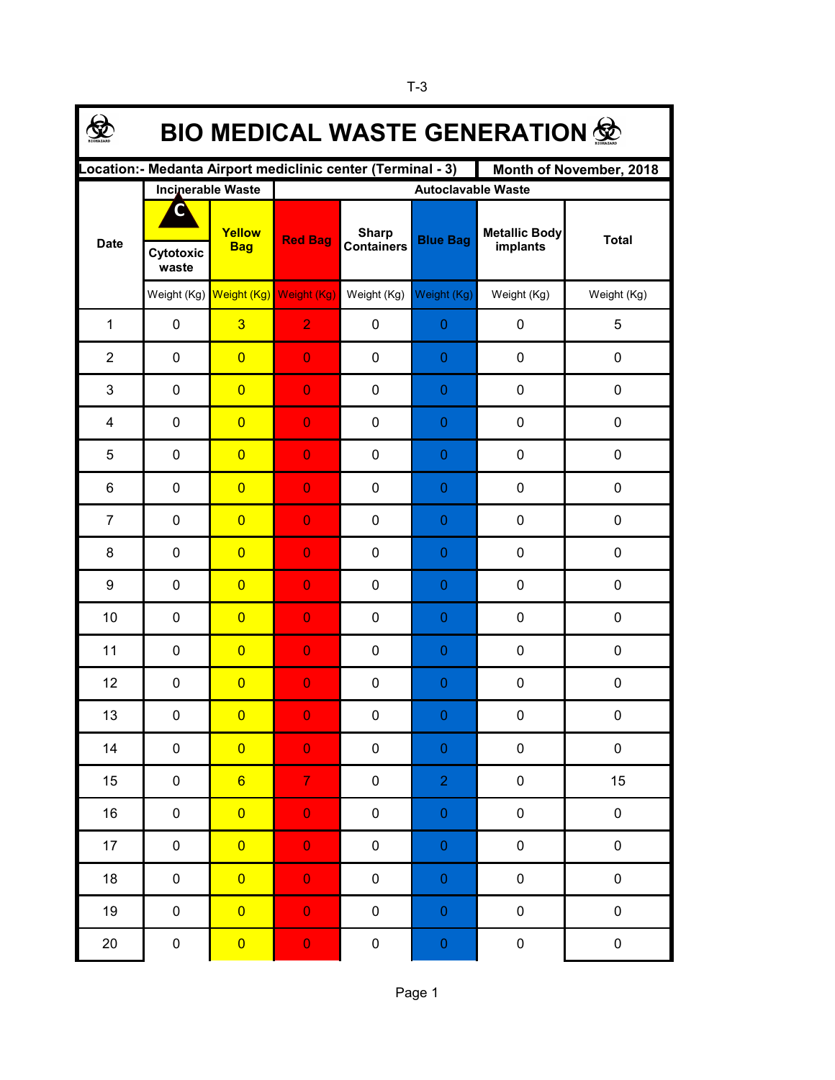| <b>BIO MEDICAL WASTE GENERATION 佥</b>                                                   |                    |                                     |                           |                                   |                  |                                  |              |  |  |  |  |  |
|-----------------------------------------------------------------------------------------|--------------------|-------------------------------------|---------------------------|-----------------------------------|------------------|----------------------------------|--------------|--|--|--|--|--|
| Location: - Medanta Airport mediclinic center (Terminal - 3)<br>Month of November, 2018 |                    |                                     |                           |                                   |                  |                                  |              |  |  |  |  |  |
|                                                                                         |                    | <b>Incinerable Waste</b>            | <b>Autoclavable Waste</b> |                                   |                  |                                  |              |  |  |  |  |  |
| <b>Date</b>                                                                             |                    | Yellow<br><b>Bag</b>                | <b>Red Bag</b>            | <b>Sharp</b><br><b>Containers</b> | <b>Blue Bag</b>  | <b>Metallic Body</b><br>implants | <b>Total</b> |  |  |  |  |  |
|                                                                                         | Cytotoxic<br>waste |                                     |                           |                                   |                  |                                  |              |  |  |  |  |  |
|                                                                                         |                    | Weight (Kg) Weight (Kg) Weight (Kg) |                           | Weight (Kg)                       | Weight (Kg)      | Weight (Kg)                      | Weight (Kg)  |  |  |  |  |  |
| $\mathbf{1}$                                                                            | $\pmb{0}$          | $\overline{3}$                      | $\overline{2}$            | $\pmb{0}$                         | $\boldsymbol{0}$ | 0                                | 5            |  |  |  |  |  |
| $\overline{2}$                                                                          | $\pmb{0}$          | $\overline{0}$                      | $\overline{0}$            | 0                                 | $\mathbf 0$      | 0                                | $\pmb{0}$    |  |  |  |  |  |
| 3                                                                                       | $\pmb{0}$          | $\overline{0}$                      | $\overline{0}$            | 0                                 | $\boldsymbol{0}$ | 0                                | $\pmb{0}$    |  |  |  |  |  |
| 4                                                                                       | $\pmb{0}$          | $\overline{0}$                      | $\overline{0}$            | 0                                 | $\mathbf 0$      | 0                                | 0            |  |  |  |  |  |
| 5                                                                                       | $\mathbf 0$        | $\overline{0}$                      | $\overline{0}$            | 0                                 | 0                | 0                                | 0            |  |  |  |  |  |
| 6                                                                                       | $\mathbf 0$        | $\overline{0}$                      | $\overline{0}$            | 0                                 | 0                | 0                                | 0            |  |  |  |  |  |
| $\overline{7}$                                                                          | $\mathbf 0$        | $\overline{0}$                      | $\overline{0}$            | 0                                 | 0                | 0                                | 0            |  |  |  |  |  |
| 8                                                                                       | 0                  | $\overline{0}$                      | $\overline{0}$            | 0                                 | 0                | 0                                | 0            |  |  |  |  |  |
| 9                                                                                       | 0                  | $\overline{0}$                      | $\overline{0}$            | 0                                 | $\theta$         | 0                                | 0            |  |  |  |  |  |
| 10                                                                                      | 0                  | $\overline{0}$                      | $\overline{0}$            | 0                                 | $\theta$         | 0                                | 0            |  |  |  |  |  |
| 11                                                                                      | 0                  | $\overline{0}$                      | $\overline{0}$            | 0                                 | $\theta$         | 0                                | 0            |  |  |  |  |  |
| 12                                                                                      | $\pmb{0}$          | $\overline{0}$                      | $\overline{0}$            | 0                                 | $\theta$         | 0                                | 0            |  |  |  |  |  |
| 13                                                                                      | 0                  | $\overline{\mathbf{0}}$             | $\overline{0}$            | 0                                 | $\Omega$         | 0                                | 0            |  |  |  |  |  |
| 14                                                                                      | $\pmb{0}$          | $\overline{0}$                      | $\mathbf 0$               | $\pmb{0}$                         | $\pmb{0}$        | $\pmb{0}$                        | $\pmb{0}$    |  |  |  |  |  |
| 15                                                                                      | $\pmb{0}$          | $6\phantom{a}$                      | $\overline{7}$            | $\pmb{0}$                         | $\overline{2}$   | $\pmb{0}$                        | 15           |  |  |  |  |  |
| 16                                                                                      | 0                  | $\overline{0}$                      | $\mathbf 0$               | $\pmb{0}$                         | $\pmb{0}$        | $\pmb{0}$                        | $\pmb{0}$    |  |  |  |  |  |
| $17 \,$                                                                                 | 0                  | $\overline{0}$                      | $\mathbf 0$               | $\pmb{0}$                         | $\pmb{0}$        | $\pmb{0}$                        | $\pmb{0}$    |  |  |  |  |  |
| 18                                                                                      | 0                  | $\overline{0}$                      | $\mathbf 0$               | $\pmb{0}$                         | $\boldsymbol{0}$ | $\pmb{0}$                        | $\pmb{0}$    |  |  |  |  |  |
| 19                                                                                      | $\pmb{0}$          | $\overline{0}$                      | $\mathbf 0$               | $\pmb{0}$                         | $\pmb{0}$        | $\pmb{0}$                        | $\pmb{0}$    |  |  |  |  |  |
| 20                                                                                      | $\pmb{0}$          | $\overline{\mathbf{0}}$             | $\mathbf 0$               | $\pmb{0}$                         | $\mathbf{0}$     | $\pmb{0}$                        | $\pmb{0}$    |  |  |  |  |  |